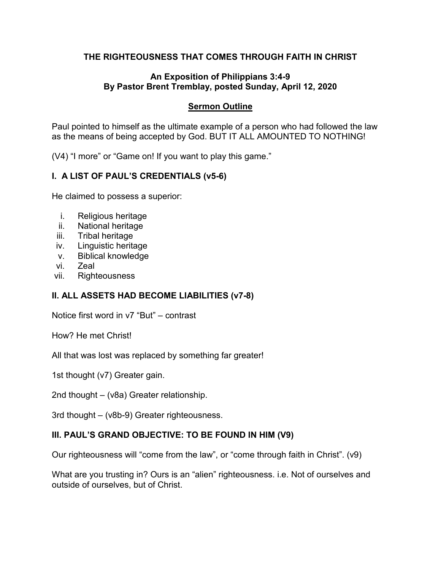# **THE RIGHTEOUSNESS THAT COMES THROUGH FAITH IN CHRIST**

### **An Exposition of Philippians 3:4-9 By Pastor Brent Tremblay, posted Sunday, April 12, 2020**

### **Sermon Outline**

Paul pointed to himself as the ultimate example of a person who had followed the law as the means of being accepted by God. BUT IT ALL AMOUNTED TO NOTHING!

(V4) "I more" or "Game on! If you want to play this game."

# **I. A LIST OF PAUL'S CREDENTIALS (v5-6)**

He claimed to possess a superior:

- i. Religious heritage
- ii. National heritage
- iii. Tribal heritage
- iv. Linguistic heritage
- v. Biblical knowledge
- vi. Zeal
- vii. Righteousness

# **II. ALL ASSETS HAD BECOME LIABILITIES (v7-8)**

Notice first word in v7 "But" – contrast

How? He met Christ!

All that was lost was replaced by something far greater!

1st thought (v7) Greater gain.

2nd thought – (v8a) Greater relationship.

3rd thought – (v8b-9) Greater righteousness.

#### **III. PAUL'S GRAND OBJECTIVE: TO BE FOUND IN HIM (V9)**

Our righteousness will "come from the law", or "come through faith in Christ". (v9)

What are you trusting in? Ours is an "alien" righteousness. i.e. Not of ourselves and outside of ourselves, but of Christ.